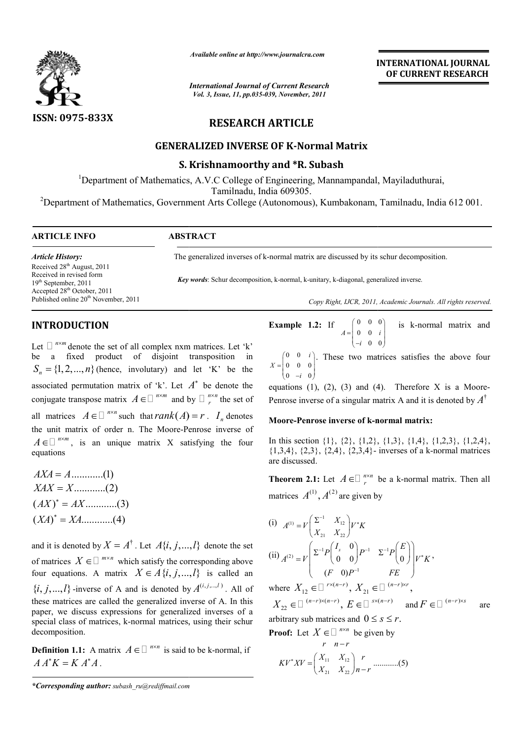

*Available online at http://www.journalcra.com*

*International Journal of Current Research Vol. 3, Issue, 11, pp.035-039, November, 2011*

# **INTERNATIONAL INTERNATIONAL JOURNAL OF CURRENT RESEARCH**

# **RESEARCH ARTICLE**

# **GENERALIZED INVERSE OF K K-Normal Matrix**

## **S. Krishnamoorthy and \*R. Subash**

<sup>1</sup>Department of Mathematics, A.V.C College of Engineering, Mannampandal, Mayiladuthurai, Tamilnadu, India 609305. Engineering, Mannampandal, Mayiladuthurai,<br>
Tamilnadu, India 609305.<br>
Department of Mathematics, Government Arts College (Autonomous), Kumbakonam, Tamilnadu, India<br>
TICLE INFO<br>
ABSTRACT<br>
The generalized inverses of k-norma

<sup>2</sup>Department of Mathematics, Government Arts College (Autonomous), Kumbakonam, Tamilnadu, India 612 001.

 $\overline{a}$ 

### **ARTICLE INFO ABSTRACT**

*Key words*: Schur decomposition, k-normal, k-unitary, k-diagonal, generalized inverse. *Article History:* Received 28th August, 2011 Received in revised form 19<sup>th</sup> September, 2011 Accepted 28th October, 2011 Published online 20<sup>th</sup> November, 2011

The generalized inverses of k k-normal matrix are discussed by its schur decomposition.

*Copy Right, IJCR, 2011, Academic Journals Copy Right, Journals. All rights reserved.*

### **INTRODUCTION**

Let  $\Box$ <sup>nxm</sup> denote the set of all complex nxm matrices. Let 'k' be a fixed product of disjoint transposition in  ${S_n} = \{1, 2, ..., n\}$  (hence, involutary) and let 'K' be the associated permutation matrix of  $k'$ . Let  $A^*$  be denote the conjugate transpose matrix  $A \in \Box^{n \times m}$  and by  $\Box^{n \times n}_{r}$ all matrices  $A \in \Box^{n \times n}$  such that  $rank(A) = r$ .  $I_n$  denotes the unit matrix of order n. The Moore-Penrose inverse of Penrose  $A \in \mathbb{R}^{n \times m}$ , is an unique matrix X satisfying the four equations  $\prod_{r}^{n \times n}$  the set of

$$
AXA = A \dots (1)
$$
  
\n
$$
XAX = X \dots (2)
$$
  
\n
$$
(AX)^{*} = AX \dots (3)
$$
  
\n
$$
(XA)^{*} = XA \dots (4)
$$

and it is denoted by  $X = A^{\dagger}$ . Let  $A\{i, j, ..., l\}$  denote the set of matrices  $X \in \Box^{m \times n}$  which satisfy the corresponding above four equations. A matrix  $X \in A \{i, j, ..., l\}$  is called an  $\{i, j, \ldots, l\}$  -inverse of A and is denoted by  $A^{(i, j, \ldots, l)}$ . All of these matrices are called the generalized inverse of A. In this paper, we discuss expressions for generalized inverses of a special class of matrices, k-normal matrices, using their schur decomposition. special class of matrices, k-normal matrices, using their schu decomposition.<br>Definition 1.1: A matrix  $A \in \Box^{n \times n}$  is said to be k-normal, if

 $A A^* K = K A^* A$ .

*\*Corresponding author: subash\_ru@rediffmail.com*

**Example 1.2:** If  $A = \begin{bmatrix} 0 & 0 & 0 \\ 0 & 0 & i \end{bmatrix}$ 0 0  $A = \begin{pmatrix} 0 & 0 & i \end{pmatrix}$  $=\begin{pmatrix} 0 & 0 & 0 \\ 0 & 0 & i \\ -i & 0 & 0 \end{pmatrix}$ is k-normal matrix and

 $\begin{bmatrix} 0 & 0 & i \end{bmatrix}$ . These two matrices satisfies the above four  $X = \begin{bmatrix} 0 & 0 & 0 \end{bmatrix}$  $0 \quad -i \quad 0$ *i*  $= \begin{pmatrix} 0 & 0 & i \\ 0 & 0 & 0 \\ 0 & -i & 0 \end{pmatrix}$  $X = \begin{pmatrix} 0 & 0 & i \\ 0 & 0 & 0 \\ 0 & -i & 0 \end{pmatrix}$ . These two matrices satisfies the above four equations (1), (2), (3) and (4). Therefore X is a Moore-

Penrose inverse of a singular matrix A and it is denoted by  $A^{\dagger}$ 

### **Moore-Penrose inverse of k-normal matrix: normal**

In this section {1}, {2}, {1,2}, {1,3}, {1,4}, {1,2,3}, {1,2,4}, In this section {1}, {2}, {1,2}, {1,3}, {1,4}, {1,2,3}, {1,2,4}, {1,3,4}, {2,3}, {2,4}, {2,3,4}- inverses of a k-normal matrices are discussed.

**Theorem 2.1:** Let  $A \in \mathbb{Z}^n$  be a k-normal matrix. Then all matrices  $A^{(1)}$ ,  $A^{(2)}$  are given by

(i) 
$$
A^{(1)} = V \begin{pmatrix} \Sigma^{-1} & X_{12} \\ X_{21} & X_{22} \end{pmatrix} V^* K
$$
  
\n(ii)  $A^{(2)} = V \begin{pmatrix} \Sigma^{-1} P \begin{pmatrix} I_s & 0 \\ 0 & 0 \end{pmatrix} P^{-1} & \Sigma^{-1} P \begin{pmatrix} E \\ 0 \end{pmatrix} V^* K$ ,  
\n $(F \quad 0) P^{-1} F E$ 

where  $X_{12} \in \Box^{r \times (n-r)}$ ,  $X_{21} \in \Box^{(n-r) \times r}$ ,  $X_{22} \in \Box$   $\overset{(n-r)\times(n-r)}{\ldots}$ ,  $E \in \Box$   $\overset{s\times(n-r)}{\ldots}$  and  $F \in \Box$   $\overset{(n-r)\times s}{\ldots}$  are arbitrary sub matrices and  $0 \leq s \leq r$ . 

**Proof:** Let 
$$
X \in \square
$$
 <sup>*n*×*n*</sup> be given by  
\n $r \quad n-r$   
\n $KV^*XV = \begin{pmatrix} X_{11} & X_{12} \\ X_{21} & X_{22} \end{pmatrix} \begin{pmatrix} r \\ n-r \end{pmatrix}$  (5)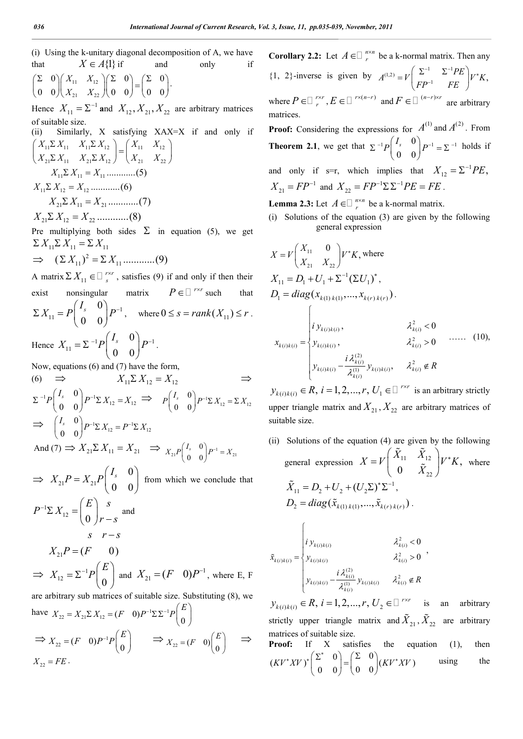(i) Using the k-unitary diagonal decomposition of A, we have that  $X \in A\{1\}$  if and only if  $11 \quad \lambda$  12 21  $\rightarrow 22$  $0 \setminus (X_{11} \ X_{12}) (\Sigma \ 0) (\Sigma \ 0)$  $0 \t0 / (X_{21} \tX_{22} / 0 \t0) \t0 \t0$  $X_{11}$  X  $\begin{pmatrix} \Sigma & 0 \\ 0 & 0 \end{pmatrix} \begin{pmatrix} X_{11} & X_{12} \\ X_{21} & X_{22} \end{pmatrix} \begin{pmatrix} \Sigma & 0 \\ 0 & 0 \end{pmatrix} = \begin{pmatrix} \Sigma & 0 \\ 0 & 0 \end{pmatrix}.$ Hence  $X_{11} = \Sigma^{-1}$  and  $X_{12}$ ,  $X_{21}$ ,  $X_{22}$  are arbitrary matrices of suitable size. (ii) Similarly, X satisfying XAX=X if and only if  $11^{\omega_1}\lambda_11$   $\lambda_11^{\omega_1}\lambda_12$   $\lambda_11^{\omega_1}\lambda_11$   $\lambda_12^{\omega_1}$  $21^{\prime\prime}$  21  $\cdot$   $\cdot$   $21^{\prime\prime}$   $21^{\prime}$   $\cdot$   $\cdot$   $21^{\prime}$   $\cdot$   $22^{\prime}$  $X_{11} \Sigma X_{11}$   $X_{11} \Sigma X_{12}$   $X_{11}$   $X$  $X_{21} \Sigma X_{11}$   $X_{21} \Sigma X_{12}$   $X_{21}$   $X_{31}$  $\begin{pmatrix} X_{11} \Sigma X_{11} & X_{11} \Sigma X_{12} \\ X_{21} \Sigma X_{11} & X_{21} \Sigma X_{12} \end{pmatrix} = \begin{pmatrix} X_{11} & X_{12} \\ X_{21} & X_{22} \end{pmatrix}$  11 11 11 *X X X* ............(5) 11 12 12 *X X X* ............(6)

$$
X_{21} \Sigma X_{11} = X_{21} \dots \dots \dots \dots (7)
$$

21 12 22 *X X X* ............(8)

Pre multiplying both sides  $\Sigma$  in equation (5), we get  $\sum X_{11} \sum X_{11} = \sum X_{11}$ 

$$
\Rightarrow (\Sigma X_{11})^2 = \Sigma X_{11} \dots \dots \dots \dots (9)
$$

A matrix  $\sum X_{11} \in \square$  *r*<sup>xr</sup>, satisfies (9) if and only if then their exist nonsingular matrix  $P \in \Box^{r \times r}$  such that 1 11 0  $0 \quad 0$  $\sum X_{11} = P \begin{pmatrix} I_s & 0 \\ 0 & 0 \end{pmatrix} P^{-1}$ where  $0 \leq s = rank(X_{11}) \leq r$ .

Hence  $X_{11} = \sum_{n=1}^{-1} P \begin{bmatrix} 1 & 1 \\ 0 & 0 \end{bmatrix} P^{-1}$ 0  $0 \quad 0$  $X_{11} = \sum_{i=1}^{n} P \begin{pmatrix} I_s & 0 \\ 0 & 0 \end{pmatrix} P^{-1}$ .

Now, equations (6) and (7) have the form,

$$
(6) \Rightarrow X_{11} \Sigma X_{12} = X_{12} \Rightarrow
$$
  
\n
$$
\Sigma^{-1} P \begin{pmatrix} I_s & 0 \\ 0 & 0 \end{pmatrix} P^{-1} \Sigma X_{12} = X_{12} \Rightarrow P \begin{pmatrix} I_s & 0 \\ 0 & 0 \end{pmatrix} P^{-1} \Sigma X_{12} = \Sigma X_{12}
$$
  
\n
$$
\Rightarrow \begin{pmatrix} I_s & 0 \\ 0 & 0 \end{pmatrix} P^{-1} \Sigma X_{12} = P^{-1} \Sigma X_{12}
$$
  
\nAnd (7)  $\Rightarrow$   $\times$   $\Sigma$   $\times$   $\Rightarrow$   $\longrightarrow$   $\begin{pmatrix} I & 0 \\ 0 & 0 \end{pmatrix}$ .

And (7)  $\Rightarrow X_{21} \Sigma X_{11} = X_{21} \Rightarrow X_{21} P \begin{pmatrix} I_s & 0 \\ 0 & 0 \end{pmatrix} P^{-1} = X_{21}$ 0 0  $X_{21}P\begin{pmatrix} I_s & 0 \ 0 & 0 \end{pmatrix} P^{-1} = X$  $(0 \t 0)$   $\ldots$ 

 $\Rightarrow X_{21}P = X_{21}$ 0 0 0  $X_{21}P = X_{21}P \begin{pmatrix} I_s & 0 \\ 0 & 0 \end{pmatrix}$ from which we conclude that 1  $12 - 0$  $E \setminus s$  $P^{-1}\Sigma X$  $r^{-1} \Sigma X_{12} = \begin{pmatrix} E \\ 0 \end{pmatrix} \begin{matrix} s \\ r - s \end{matrix}$  and  $X_{21}P = (F \t 0)$  $s$   $r - s$ 

 $\Rightarrow X_{12} = \Sigma^{-1}$  $12 - 2$   $1 \n\bigg( 0$  $X_{12} = \sum^{-1} P \begin{pmatrix} E \\ 0 \end{pmatrix}$  and  $X_{21} = (F \ 0) P^{-1}$ , where E, F are arbitrary sub matrices of suitable size. Substituting (8), we

have 
$$
X_{22} = X_{21} \Sigma X_{12} = (F \quad 0) P^{-1} \Sigma \Sigma^{-1} P \begin{pmatrix} E \\ 0 \end{pmatrix}
$$
  
\n $\Rightarrow X_{22} = (F \quad 0) P^{-1} P \begin{pmatrix} E \\ 0 \end{pmatrix} \Rightarrow X_{22} = (F \quad 0) \begin{pmatrix} E \\ 0 \end{pmatrix} \Rightarrow X_{22} = FE.$ 

**Corollary 2.2:** Let  $A \in \mathbb{Z}_r^{n \times n}$  be a k-normal matrix. Then any {1, 2}-inverse is given by  $A^{(1,2)} = V \left( \frac{\Sigma^{-1}}{FP^{-1}} - \frac{\Sigma^{-1}PE}{FE} \right) V^* K$ ,  $\left[\begin{array}{cc} -1 & \Sigma^{-1}PE \end{array}\right]_{L}$ Ē  $=V\left(\begin{matrix} \Sigma^{-1} & \Sigma^{-1}PE \\ FP^{-1} & FE \end{matrix}\right)$ where  $P \in \Box$   $f^{\times r}$ ,  $E \in \Box$   $f^{\times (n-r)}$  and  $F \in \Box$   $\Box$   $f^{\times r}$  are arbitrary matrices. **Proof:** Considering the expressions for  $A^{(1)}$  and  $A^{(2)}$ . From

**Theorem 2.1**, we get that  $\sum^{-1} P \begin{pmatrix} I_s & 0 \end{pmatrix} P^{-1} = \sum^{-1} P \begin{pmatrix} I_s & 0 \end{pmatrix} P^{-1}$ 0 0  $\Sigma^{-1}P\begin{pmatrix} I_s & 0 \\ 0 & 0 \end{pmatrix} P^{-1} = \Sigma^{-1}$  holds if and only if s=r, which implies that  $X_{12} = \sum^{-1} PE$ ,

 $X_{21} = FP^{-1}$  and  $X_{22} = FP^{-1} \Sigma \Sigma^{-1} PE = FE$ .

**Lemma 2.3:** Let  $A \in \mathbb{Z}_r^{n \times n}$  be a k-normal matrix.

(i) Solutions of the equation (3) are given by the following general expression

$$
X = V \begin{pmatrix} X_{11} & 0 \\ X_{21} & X_{22} \end{pmatrix} V^* K, \text{ where}
$$
  
\n
$$
X_{11} = D_1 + U_1 + \sum^{-1} (\sum U_1)^*,
$$
  
\n
$$
D_1 = diag(x_{k(1) k(1)}, ..., x_{k(r) k(r)}).
$$
  
\n
$$
x_{k(i) k(i)} = \begin{cases} \ni y_{k(i) k(i)}, & \lambda_{k(i)}^2 < 0 \\ y_{k(i) k(i)}, & \lambda_{k(i)}^2 > 0 \\ y_{k(i) k(i)}, & \lambda_{k(i)}^2 > 0 \end{cases}
$$
 ...... (10),

 $y_{k(i)k(i)} \in R$ ,  $i = 1,2,...,r$ ,  $U_1 \in \square$ <sup>rxr</sup> is an arbitrary strictly upper triangle matrix and  $X_{21}$ ,  $X_{22}$  are arbitrary matrices of suitable size.

Solutions of the equation  $(4)$  are given by the following general expression  $X = V \begin{bmatrix} 1 & 1 & 1 \\ 0 & 1 & 1 \end{bmatrix}$  $\tilde{X}_{22}^{11}$   $\tilde{X}_{22}^{12}$   $V^*K$ ,  $X_{11}$  *X*  $X = V \begin{bmatrix} 1 & 1 & 1 \\ 0 & z & 1 \end{bmatrix} V^* K$  $= V \begin{pmatrix} \tilde{X}_{11} & \tilde{X}_{12} \\ 0 & \tilde{X}_{22} \end{pmatrix} V^*$  $\tilde{X}_{\infty}^{\perp 2}$   $V^*K$ , where  $\tilde{X}_{11} = D_2 + U_2 + (U_2 \Sigma)^* \Sigma^{-1},$  $D_2 = diag(\tilde{x}_{k(1),k(1)},...,\tilde{x}_{k(r),k(r)})$ .

$$
\tilde{x}_{k(i)k(i)} = \begin{cases}\ni y_{k(i)k(i)} & \lambda_{k(i)}^2 < 0 \\
y_{k(i)k(i)} & \lambda_{k(i)}^2 > 0 \\
y_{k(i)k(i)} - \frac{i \lambda_{k(i)}^{(2)}}{\lambda_{k(i)}^{(1)}} y_{k(i)k(i)} & \lambda_{k(i)}^2 \notin R\n\end{cases}
$$

 $\sqrt{ }$ 

 $y_{k(i)k(i)} \in R, i = 1, 2, ..., r, U_2 \in \square^{r \times r}$  is an arbitrary strictly upper triangle matrix and  $\tilde{X}_{21}$ ,  $\tilde{X}_{22}$  are arbitrary matrices of suitable size. **Proof:** If X satisfies the equation (1), then  $(KV^*XV)^*\begin{pmatrix} \Sigma^* & 0 \\ 0 & 0 \end{pmatrix} = \begin{pmatrix} \Sigma & 0 \\ 0 & 0 \end{pmatrix} (KV^*XV)$ \* $XY$ )\* $\begin{pmatrix} \Sigma^* & 0 \\ 0 & 0 \end{pmatrix} = \begin{pmatrix} \Sigma & 0 \\ 0 & 0 \end{pmatrix} (KV^*)$ using the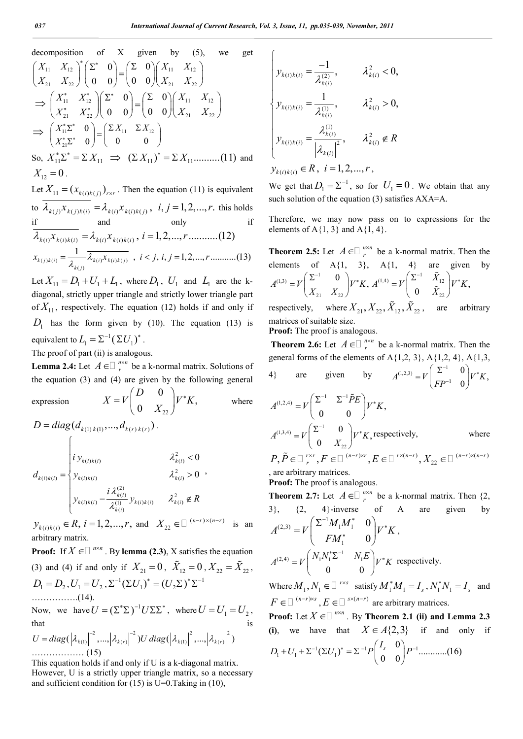decomposition of X given by (5), we get  
\n
$$
\begin{pmatrix} X_{11} & X_{12} \\ X_{21} & X_{22} \end{pmatrix}^{*} \begin{pmatrix} \Sigma^* & 0 \\ 0 & 0 \end{pmatrix} = \begin{pmatrix} \Sigma & 0 \\ 0 & 0 \end{pmatrix} \begin{pmatrix} X_{11} & X_{12} \\ X_{21} & X_{22} \end{pmatrix}
$$
\n
$$
\Rightarrow \begin{pmatrix} X_{11}^* & X_{12}^* \\ X_{21}^* & X_{22}^* \end{pmatrix} \begin{pmatrix} \Sigma^* & 0 \\ 0 & 0 \end{pmatrix} = \begin{pmatrix} \Sigma & 0 \\ 0 & 0 \end{pmatrix} \begin{pmatrix} X_{11} & X_{12} \\ X_{21} & X_{22} \end{pmatrix}
$$
\n
$$
\Rightarrow \begin{pmatrix} X_{11}^* \Sigma^* & 0 \\ X_{21}^* \Sigma^* & 0 \end{pmatrix} = \begin{pmatrix} \Sigma X_{11} & \Sigma X_{12} \\ 0 & 0 \end{pmatrix}
$$
\nSo,  $X_{11}^* \Sigma^* = \Sigma X_{11} \implies (\Sigma X_{11})^* = \Sigma X_{11}$ ........(11) and  
\n $X_{12} = 0$ .  
\nLet  $X_{11} = (x_{k(i)k(j)})_{r\times r}$ . Then the equation (11) is equivalent  
\nto  $\overline{\lambda_{k(j)} x_{k(j)k(i)}} = \lambda_{k(i)} x_{k(i)k(j)}$ ,  $i, j = 1, 2, ..., r$ . this holds  
\n $\frac{\partial f}{\partial x_{k(i)} x_{k(i)k(i)}} = \lambda_{k(i)} x_{k(i)k(i)}$ ,  $i = 1, 2, ..., r$ ........(12)  
\n $x_{k(j)k(i)} = \frac{1}{\lambda_{k(j)}} \overline{\lambda_{k(i)} x_{k(i)k(j)}}$ ,  $i < j, i, j = 1, 2, ..., r$ ........(13)  
\n $x_{k(j)k(i)} = \frac{1}{\lambda_{k(j)}} \overline{\lambda_{k(i)k(k(i)j)}}$ ,  $i < j, i, j = 1, 2, ..., r$ ........(13)

Let  $X_{11} = D_1 + U_1 + L_1$ , where  $D_1$ ,  $U_1$  and  $L_1$  are the kdiagonal, strictly upper triangle and strictly lower triangle part of  $X_{11}$ , respectively. The equation (12) holds if and only if  $D_1$  has the form given by (10). The equation (13) is equivalent to  $L_1 = \Sigma^{-1} (\Sigma U_1)^*$ .

The proof of part (ii) is analogous.

**Lemma 2.4:** Let  $A \in \mathbb{Z}^n$  be a k-normal matrix. Solutions of the equation (3) and (4) are given by the following general

expression 
$$
X = V \begin{pmatrix} D & 0 \\ 0 & X_{22} \end{pmatrix} V^* K
$$
, where  
\n $D = diag(d_{k(1)k(1)},...,d_{k(r)k(r)})$ .  
\n $d_{k(i)k(i)} = \begin{cases} \ni y_{k(i)k(i)} & \lambda_{k(i)}^2 < 0 \\ y_{k(i)k(i)} & \lambda_{k(i)}^2 > 0 \\ y_{k(i)k(i)} & \lambda_{k(i)}^2 > 0 \end{cases}$ ,

 $y_{k(i)k(i)} \in R, i = 1, 2, ..., r, \text{ and } X_{22} \in \Box^{(n-r)\times(n-r)} \text{ is an }$ arbitrary matrix.

**Proof:** If  $X \in \square$  <sup>*nxn*</sup>. By **lemma (2.3)**, X satisfies the equation (3) and (4) if and only if  $X_{21} = 0$ ,  $\tilde{X}_{12} = 0$ ,  $X_{22} = \tilde{X}_{22}$ ,  $D_1 = D_2$ ,  $U_1 = U_2$ ,  $\Sigma^{-1} (\Sigma U_1)^* = (U_2 \Sigma)^* \Sigma^{-1}$ …………….(14).

Now, we have  $U = (\Sigma^* \Sigma)^{-1} U \Sigma \Sigma^*$ , where  $U = U_1 = U_2$ , that is  $\frac{1}{2}$  2 2  $\frac{1}{2}$  2  $\frac{1}{2}$  2  $\frac{1}{2}$  2  $\frac{1}{2}$  2  $\frac{1}{2}$ 

$$
U = diag(|\lambda_{k(1)}|^{-2}, ..., |\lambda_{k(r)}|^{-2})U diag(|\lambda_{k(1)}|^{2}, ..., |\lambda_{k(r)}|^{2})
$$
  
................. (15)

This equation holds if and only if U is a k-diagonal matrix. However, U is a strictly upper triangle matrix, so a necessary and sufficient condition for  $(15)$  is U=0.Taking in  $(10)$ ,

$$
\begin{cases}\ny_{k(i)k(i)} = \frac{-1}{\lambda_{k(i)}^{(2)}}, & \lambda_{k(i)}^2 < 0, \\
y_{k(i)k(i)} = \frac{1}{\lambda_{k(i)}^{(1)}}, & \lambda_{k(i)}^2 > 0, \\
y_{k(i)k(i)} = \frac{\lambda_{k(i)}^{(1)}}{\left|\lambda_{k(i)}\right|^2}, & \lambda_{k(i)}^2 \notin R \\
y_{k(i)k(i)} \in R, & i = 1, 2, \dots, r,\n\end{cases}
$$

We get that  $D_1 = \Sigma^{-1}$ , so for  $U_1 = 0$ . We obtain that any such solution of the equation (3) satisfies AXA=A.

Therefore, we may now pass on to expressions for the elements of A $\{1, 3\}$  and A $\{1, 4\}$ .

**Theorem 2.5:** Let  $A \in \square$   $\bigcap_{r=1}^{n \times n}$  be a k-normal matrix. Then the elements of  $A\{1, 3\}$ ,  $A\{1, 4\}$  are given by  $(1,3)$   $-V$   $\sum$   $Z^{-1}$  $A^{(1,3)} = V \begin{pmatrix} \Sigma^{-1} & 0 \\ X_{21} & X_{22} \end{pmatrix} V^* K, A^{(1,4)} = V \begin{pmatrix} \Sigma^{-1} & \tilde{X}_{12} \\ 0 & \tilde{X}_{22} \end{pmatrix}$  $A^{(1,4)} = V \begin{pmatrix} \Sigma^{-1} & X_{12} \\ 0 & \tilde{X}_{22} \end{pmatrix} V^* K,$ *X*  $=V\begin{pmatrix} \Sigma^{-1} & \tilde{X}_{12} \\ 0 & \tilde{X}_{22} \end{pmatrix}V^*$  $\tilde{\chi}$ 

respectively, where  $X_{21}$ ,  $X_{22}$ ,  $X_{12}$ ,  $X_{22}$ , are arbitrary matrices of suitable size.

**Proof:** The proof is analogous.

**Theorem 2.6:** Let  $A \in \square$   $\prod_{r}^{n \times n}$  be a k-normal matrix. Then the general forms of the elements of  $A\{1,2, 3\}$ ,  $A\{1,2, 4\}$ ,  $A\{1,3, 4\}$ 4} are given by  $A^{(1,2,3)} = V \begin{pmatrix} \Sigma^{-1} \\ 1 \end{pmatrix}$  $A^{(1,2,3)} = V \begin{pmatrix} \Sigma^{-1} & 0 \ FP^{-1} & 0 \end{pmatrix} V^* K,$ *FP*  $\begin{pmatrix} -1 & 0 \end{pmatrix}_{V^*}$ i- $=V\begin{pmatrix} \Sigma^{-1} & 0 \\ FP^{-1} & 0 \end{pmatrix}$ 

$$
A^{(1,2,4)} = V \begin{pmatrix} \Sigma^{-1} & \Sigma^{-1} \tilde{P} E \\ 0 & 0 \end{pmatrix} V^* K,
$$
\n
$$
A^{(1,3,4)} = V \begin{pmatrix} \Sigma^{-1} & 0 \\ 0 & X_{22} \end{pmatrix} V^* K
$$
, respectively, where\n
$$
P, \tilde{P} \in \Box^{r \times r}, F \in \Box^{(n-r) \times r}, E \in \Box^{r \times (n-r)}, X_{22} \in \Box^{(n-r) \times (n-r)}
$$

, are arbitrary matrices.

**Proof:** The proof is analogous.

**Theorem 2.7:** Let  $A \in \mathbb{Z}^n$  be a k-normal matrix. Then  $\{2, \ldots, n\}$  $3\}$ ,  $\{2, 4\}$ -inverse of A are given by 1  $(2,3)$   $V$   $\sim$   $\frac{1}{1}$   $(1,1)$ 1  $\boldsymbol{0}$  $\boldsymbol{0}$  $M_1M$  $A^{(2,3)} = V$   $\begin{bmatrix} 1 & 0 \\ 0 & 0 \end{bmatrix} V^* K$ *FM*  $^{-1}$  M M<sup>\*</sup> × ×  $= V \begin{pmatrix} \Sigma^{-1} M_1 M_1^* & 0 \ F M_1^* & 0 \end{pmatrix}$ ,  $\sum_{(2,4)}$   $\sum_{l}$   $N_1 N_1^* \Sigma^{-1}$   $N_1$ 0 0  $A^{(2,4)} = V \begin{pmatrix} N_1 N_1^* \Sigma^{-1} & N_1 E \\ 0 & 0 \end{pmatrix} V^* K$  respectively.

Where  $M_1, N_1 \in \Box$  <sup>r×s</sup> satisfy  $M_1^* M_1 = I_s$ ,  $N_1^* N_1 = I_s$  and  $F \in \Box^{(n-r) \times s}$ ,  $E \in \Box^{s \times (n-r)}$  are arbitrary matrices.

**Proof:** Let  $X \in \Box$   $n \times n$ . By **Theorem 2.1 (ii)** and **Lemma 2.3** (i), we have that  $X \in A\{2,3\}$  if and only  $D_1 + U_1 + \Sigma^{-1} (\Sigma U_1)^* = \Sigma^{-1} P \begin{bmatrix} 1 & 0 \\ 0 & 0 \end{bmatrix} P^{-1}$ 0 ( ) ............(16) 0 0  $D_1 + U_1 + \Sigma^{-1} (\Sigma U_1)^* = \Sigma^{-1} P \begin{pmatrix} I_s & 0 \\ 0 & 0 \end{pmatrix} P^{-1}$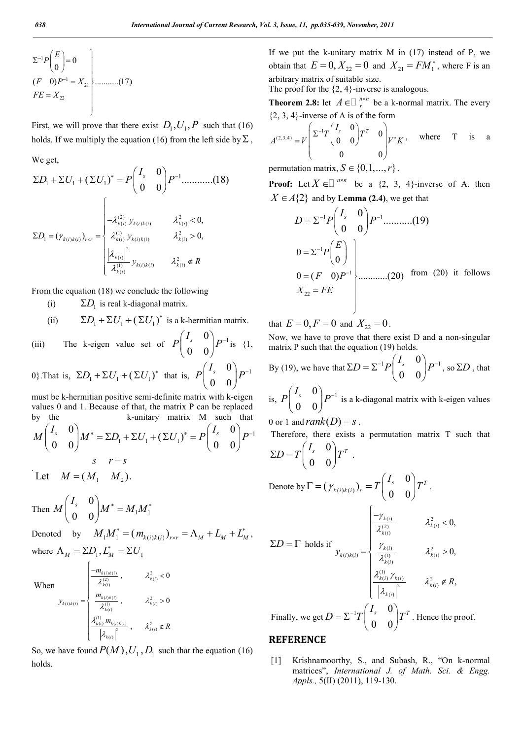$$
\Sigma^{-1} P\binom{E}{0} = 0
$$
\n
$$
(F \quad 0)P^{-1} = X_{21}
$$
\n
$$
FE = X_{22}
$$
\n(17)

First, we will prove that there exist  $D_1, U_1, P$  such that (16) holds. If we multiply the equation (16) from the left side by  $\Sigma$ ,

We get,

$$
\Sigma D_{1} + \Sigma U_{1} + (\Sigma U_{1})^{*} = P \begin{pmatrix} I_{s} & 0 \\ 0 & 0 \end{pmatrix} P^{-1} \dots \dots \dots \dots (18)
$$

$$
\Sigma D_{1} = (\gamma_{k(i)k(i)})_{rsr} = \begin{cases} \lambda_{k(i)}^{(2)} y_{k(i)k(i)} & \lambda_{k(i)}^{2} < 0, \\ \lambda_{k(i)}^{(0)} y_{k(i)k(i)} & \lambda_{k(i)}^{2} > 0, \\ \frac{|\lambda_{k(i)}|^{2}}{\lambda_{k(i)}^{(1)}} y_{k(i)k(i)} & \lambda_{k(i)}^{2} \notin R \end{cases}
$$

From the equation (18) we conclude the following

- (i)  $\Sigma D_1$  is real k-diagonal matrix.
- (ii)  $\Sigma D_1 + \Sigma U_1 + (\Sigma U_1)^*$  is a k-hermitian matrix.
- (iii) The k-eigen value set of  $P\begin{pmatrix} I_s & 0 \ 0 & 0 \end{pmatrix} P^{-1}$ 0 0  $P\left(\begin{matrix}I_s & 0 \ 0 & 0\end{matrix}\right)$  $P^$ is {1,

0}.That is,  $\Sigma D_1 + \Sigma U_1 + (\Sigma U_1)^*$  that is,  $P\begin{pmatrix} I_s & 0 \\ 0 & 0 \end{pmatrix} P^{-1}$  $P\left(\begin{matrix}I_s & 0 \ 0 & 0\end{matrix}\right)P^-$ 

must be k-hermitian positive semi-definite matrix with k-eigen values 0 and 1. Because of that, the matrix P can be replaced by the k-unitary matrix M such that

$$
M\begin{pmatrix}I_s & 0\\ 0 & 0\end{pmatrix}M^* = \Sigma D_1 + \Sigma U_1 + (\Sigma U_1)^* = P\begin{pmatrix}I_s & 0\\ 0 & 0\end{pmatrix}P^{-1}
$$
  

$$
S \quad r - S
$$

Let  $M = (M_1 \ M_2)$ .

Then 
$$
M \begin{pmatrix} I_s & 0 \\ 0 & 0 \end{pmatrix} M^* = M_1 M_1^*
$$

Denoted by  $M_1 M_1^* = (m_{k(i)k(i)})_{r \times r} = \Lambda_M + L_M + L_M^*$ , where  $\Lambda_M = \Sigma D_1, L_M^* = \Sigma U_1$ 

When

$$
y_{k(i)k(i)} = \begin{cases} \frac{m_{k(i)k(i)}}{\lambda_{k(i)}^{(2)}}, & \lambda_{k(i)}^{2} < 0\\ \frac{m_{k(i)k(i)}}{\lambda_{k(i)}^{(1)}}, & \lambda_{k(i)}^{2} > 0\\ \frac{\lambda_{k(i)}^{(1)} m_{k(i)k(i)}}{\left|\lambda_{k(i)}\right|^2}, & \lambda_{k(i)}^{2} \notin R \end{cases}
$$

 $\begin{cases}\n-m_{k(i)k(i)} \\
\frac{\lambda_{k(i)}^{(2)}}{\lambda_{k(i)}^{(2)}}\n\end{cases}$ ,  $\lambda_{k(i)}^2$ 

So, we have found  $P(M)$ ,  $U_1$ ,  $D_1$  such that the equation (16) holds.

If we put the k-unitary matrix  $M$  in  $(17)$  instead of P, we obtain that  $E = 0, X_{22} = 0$  and  $X_{21} = FM_1^*$ , where F is an arbitrary matrix of suitable size.

The proof for the  $\{2, 4\}$ -inverse is analogous.

**Theorem 2.8:** let  $A \in \mathbb{Z}_r^{n \times n}$  be a k-normal matrix. The every  ${2, 3, 4}$ -inverse of A is of the form

$$
A^{(2,3,4)} = V \begin{pmatrix} \Sigma^{-1}T \begin{pmatrix} I_s & 0 \\ 0 & 0 \end{pmatrix} T^T & 0 \\ 0 & 0 \end{pmatrix} V^* K , \text{ where } T \text{ is a}
$$

permutation matrix,  $S \in \{0,1,...,r\}$ .

**Proof:** Let  $X \in \mathbb{R}^{n \times n}$  be a {2, 3, 4}-inverse of A. then  $X \in A\{2\}$  and by **Lemma (2.4)**, we get that

$$
D = \Sigma^{-1} P \begin{pmatrix} I_s & 0 \\ 0 & 0 \end{pmatrix} P^{-1} \dots (19)
$$
  
\n
$$
0 = \Sigma^{-1} P \begin{pmatrix} E \\ 0 \end{pmatrix}
$$
  
\n
$$
0 = (F \quad 0) P^{-1} \dots (20) \text{ from (20) it follows}
$$
  
\n
$$
X_{22} = FE
$$

that  $E = 0, F = 0$  and  $X_{22} = 0$ .

Now, we have to prove that there exist D and a non-singular matrix P such that the equation (19) holds.

By (19), we have that 
$$
\Sigma D = \Sigma^{-1} P \begin{pmatrix} I_s & 0 \\ 0 & 0 \end{pmatrix} P^{-1}
$$
, so  $\Sigma D$ , that

is,  $P\begin{pmatrix} I_s & 0 \\ 0 & 0 \end{pmatrix} P^{-1}$ 0 0  $P\left(\begin{matrix}I_s & 0 \ 0 & 0\end{matrix}\right)P^$ is a k-diagonal matrix with k-eigen values

0 or 1 and  $rank(D) = s$ .

Therefore, there exists a permutation matrix T such that 0  $\Sigma D = T \begin{pmatrix} I_s & 0 \\ 0 & 0 \end{pmatrix} T^T$ .

$$
(0 \t 0)
$$
  
Denote by  $\Gamma = (\gamma_{k(i)k(i)})_r = T \begin{pmatrix} I_s & 0 \\ 0 & 0 \end{pmatrix} T^T$ .  

$$
\Sigma D = \Gamma \text{ holds if } \gamma_{k(i)k(i)} = \begin{cases} \frac{-\gamma_{k(i)}}{\lambda_{k(i)}^{(2)}} & \lambda_{k(i)}^2 < 0, \\ \frac{\gamma_{k(i)}}{\lambda_{k(i)}^{(1)}} & \lambda_{k(i)}^2 > 0, \\ \frac{\lambda_{k(i)}^{(1)} \gamma_{k(i)}}{|\lambda_{k(i)}|^2} & \lambda_{k(i)}^2 \notin R, \\ \frac{\lambda_{k(i)}^{(1)} \gamma_{k(i)}}{|\lambda_{k(i)}|^2} & \lambda_{k(i)}^2 \notin R, \end{cases}
$$
  
Finally, we get  $D = \Sigma^{-1} T \begin{pmatrix} I_s & 0 \\ 0 & 0 \end{pmatrix} T^T$ . Hence the proof.

### **REFERENCE**

[1] Krishnamoorthy, S., and Subash, R., "On k-normal matrices", *International J. of Math. Sci. & Engg. Appls.,* 5(II) (2011), 119-130.